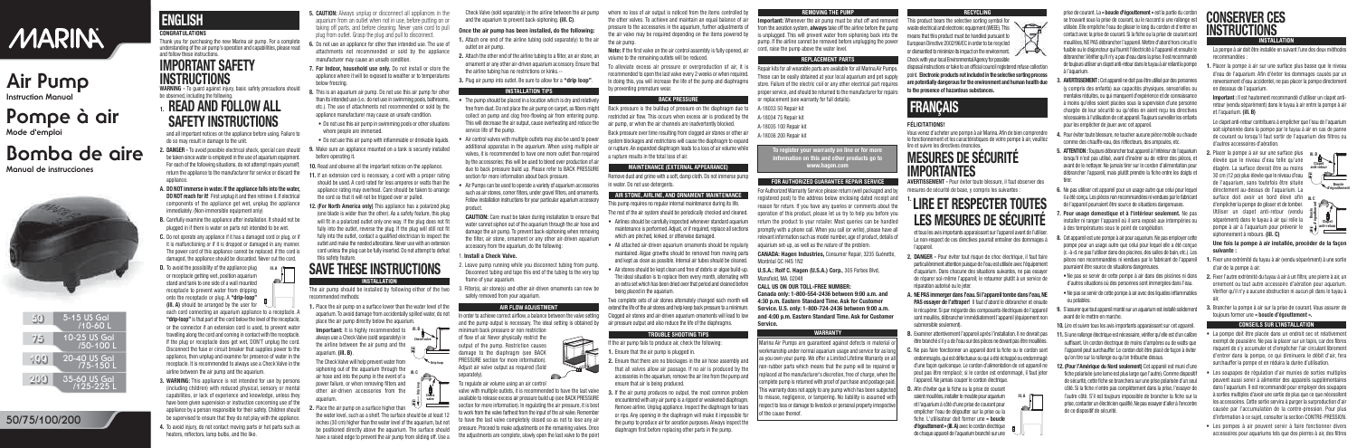### **CONGRATULATIONS**

Thank you for purchasing the new Marina air pump. For a complete understanding of the air pump's operation and capabilities, please read and follow these instructions.

## **IMPORTANT SAFETY INSTRUCTIONS**

**WARNING -** To guard against injury, basic safety precautions should be observed, including the following.

### **1. READ AND FOLLOW ALL SAFETY INSTRUCTIONS**

and all important notices on the appliance before using. Failure to do so may result in damage to the unit.

**D.** To avoid the possibility of the appliance plug or receptacle getting wet, position aquarium stand and tank to one side of a wall mounted receptacle to prevent water from dripping onto the receptacle or plug. A **"drip-loop" (ill. A)** should be arranged by the user for  $\sqrt{\frac{m}{m}}$ **ill. A** 

- **2. DANGER -** To avoid possible electrical shock, special care should be taken since water is employed in the use of aquarium equipment. For each of the following situations, do not attempt repairs yourself; return the appliance to the manufacturer for service or discard the appliance.
- **A. DO NOT immerse in water. If the appliance falls into the water, DO NOT reach for it!** First unplug it and then retrieve it. If electrical components of the appliance get wet, unplug the appliance immediately. (Non-immersible equipment only)
- **B.** Carefully examine the appliance after installation. It should not be plugged in if there is water on parts not intended to be wet.
- **C.** Do not operate any appliance if it has a damaged cord or plug, or if it is malfunctioning or if it is dropped or damaged in any manner. The power cord of this appliance cannot be replaced: if the cord is damaged, the appliance should be discarded. Never cut the cord.

 $\sim$   $\sim$ 

each cord connecting an aquarium appliance to a receptacle. A **"drip-loop"** is that part of the cord below the level of the receptacle, or the connector if an extension cord is used, to prevent water travelling along the cord and coming in contact with the receptacle. If the plug or receptacle does get wet, DON'T unplug the cord. Disconnect the fuse or circuit breaker that supplies power to the appliance, then unplug and examine for presence of water in the receptacle. It is recommended to always use a Check Valve in the airline between the air pump and the aquarium.

- **3. WARNING:** This appliance is not intended for use by persons (including children) with reduced physical, sensory or mental capabilities, or lack of experience and knowledge, unless they have been given supervision or instruction concerning use of the appliance by a person responsible for their safety. Children should be supervised to ensure that they do not play with the appliance.
- **4.** To avoid injury, do not contact moving parts or hot parts such as heaters, reflectors, lamp bulbs, and the like.
- The pump should be placed in a location which is dry and relatively free from dust. Do not place the air pump on carpet, as fibers might collect on pump and clog free-flowing air from entering pump. This will decrease the air output, cause overheating and reduce the service life of the pump.
- Air control valves with multiple outlets may also be used to power additional apparatus in the aquarium. When using multiple air valves, it is recommended to have one more outlet than required by the accessories; this will be used to bleed over production of air due to back pressure build up. Please refer to BACK PRESSURE section for more information about back pressure.
- Air Pumps can be used to operate a variety of aquarium accessories such as air stones, corner filters, under gravel filters, and ornaments. Follow installation instructions for your particular aquarium accessory product.
- **5. CAUTION:** Always unplug or disconnect all appliances in the aquarium from an outlet when not in use, before putting on or taking off parts, and before cleaning. Never yank cord to pull plug from outlet. Grasp the plug and pull to disconnect.
- **6.** Do not use an appliance for other than intended use. The use of attachments not recommended or sold by the appliance manufacturer may cause an unsafe condition.
- **7. For Indoor, household use only.** Do not install or store the appliance where it will be exposed to weather or to temperatures below freezing.
- **8.** This is an aquarium air pump. Do not use this air pump for other than its intended use (i.e.: do not use in swimming pools, bathrooms, etc.). The use of attachments not recommended or sold by the appliance manufacturer may cause an unsafe condition.
- Do not use this air pump in swimming pools or other situations where people are immersed.
- Do not use this air pump with inflammable or drinkable liquids.
- **9.** Make sure an appliance mounted on a tank is securely installed before operating it.
- **10.** Read and observe all the important notices on the appliance.
- **11.** If an extension cord is necessary, a cord with a proper rating should be used. A cord rated for less amperes or watts than the appliance rating may overheat. Care should be taken to arrange the cord so that it will not be tripped over or pulled.
- **12. (For North America only)** This appliance has a polarized plug (one blade is wider than the other). As a safety feature, this plug will fit in a polarized outlet only one way. If the plug does not fit fully into the outlet, reverse the plug. If the plug will still not fit fully into the outlet, contact a qualified electrician to inspect the outlet and make the needed alterations. Never use with an extension cord unless the plug can be fully inserted. Do not attempt to defeat this safety feature.

- 2. Leave pump running while you disconnect tubing from pump. Disconnect tubing and tape this end of the tubing to the very top frame of your aquarium.
- 3. Filter(s), air stone(s) and other air-driven ornaments can now be safely removed from your aquarium.

### **SAVE THESE INSTRUCTIONS INSTALLATION**

The air pump should be installed by following either of the two recommended methods:

**1.** Place the air pump on a surface lower than the water level of the aquarium. To avoid damage from accidentally spilled water, do not place the air pump directly below the aquarium.

**Important:** It is highly recommended to **ill. B** always use a Check Valve (sold separately) in the airline between the air pump and the aquarium. **(ill. B)**.

**2.** Place the air pump on a surface higher than

the water level, such as a shelf. The surface should be at least 12 inches (30 cm) higher than the water level of the aquarium, but not be positioned directly above the aquarium. The surface should have a raised edge to prevent the air pump from sliding off. Use a Check Valve (sold separately) in the airline between the air pump and the aquarium to prevent back-siphoning. **(ill. C)**.

#### **Once the air pump has been installed, do the following:**

- **1.** Attach one end of the airline tubing (sold separately) to the air outlet on air pump.
- **2.** Attach the other end of the airline tubing to a filter, an air stone, an ornament or any other air-driven aquarium accessory. Ensure that the airline tubing has no restrictions or kinks.--
- **3.** Plug air pump into outlet. Be sure to allow for a **"drip loop"**.

### **INSTALLATION TIPS**

disposal instructions or take to an official council registered refuse collection point. **Electronic products not included inthe selective sorting process are potentially dangerousforthe environment and human health due to the presence of hazardous substances.**

**CAUTION:** Care must be taken during installation to ensure that water cannot siphon out of the aquarium through the air hose and damage the air pump. To prevent back-siphoning when removing the filter, air stone, ornament or any other air-driven aquarium accessory from the aquarium, do the following:

#### 1. **Install a Check Valve.**

### **AIR FLOW ADJUSTMENT**

In order to achieve correct airflow, a balance between the valve setting and the pump output is necessary. The ideal setting is obtained by

minimum back pressure or non restriction of flow of air. Never physically restrict the output of the pump. Restriction causes damage to the diaphragm (see BACK PRESSURE section for more information). Adjust air valve output as required (Sold separately).

### To regulate air volume using an air control

valve with multiple outlets, it is recommended to have the last valve available to release excess air pressure build up (see BACK PRESSURE section for more information). In regulating the air pressure, it is best to work from the valve farthest from the input of the air valve. Remember to have the last valve completely closed so as not to lose any air pressure. Proceed to make adjustments on the remaining valves. Once the adjustments are complete, slowly open the last valve to the point

where no loss of air output is noticed from the items controlled by the other valves. To achieve and maintain an equal balance of air pressure to the accessories in the aquarium, further adjustments of the air valve may be required depending on the items powered by the air pump.

**Note:** If the first valve on the air control assembly is fully opened, air volume to the remaining outlets will be reduced. o alleviate excess air pressure or overproduction of air, it is recommended to open the last valve every 2 weeks or when required. In doing this, you will increase the life of the pump and diaphragms by preventing premature wear.

#### **BACK PRESSURE**

Remove dust and grime with a soft, damp cloth. Do not immerse pump in water. Do not use detergents.

#### **AIR STONE, AIRLINE, AND ORNAMENT MAINTENANCE**

This pump requires no regular internal maintenance during its life. The rest of the air system should be periodically checked and cleaned.

- Airlines should be carefully inspected whenever standard aquarium maintenance is performed. Adjust, or if required, replace all sections which are pinched, kinked, or otherwise damaged.
- All attached air-driven aquarium ornaments should be regularly maintained. Algae growths should be removed from moving parts and kept as clean as possible. Internal air tubes should be cleaned.
- Air stones should be kept clean and free of debris or algae build-up. The ideal situation is to replace them every month, alternating with an extra set which has been dried over that period and cleaned before being placed in the aquarium.

#### **TROUBLE SHOOTING TIPS**

- If the air pump fails to produce air, check the following: **1.** Ensure that the air pump is plugged in.
- **2.** Ensure that there are no blockages in the air hose assembly and that all valves allow air passage. If no air is produced by the accessories in the aquarium, remove the air line from the pump and ensure that air is being produced.
- **3.** If the air pump produces no output, the most common problem encountered with any air pump is a ripped or weakened diaphragm. Remove airline. Unplug appliance. Inspect the diaphragm for tears or rips. Any opening in the diaphragm will make it impossible for the pump to produce air for aeration purposes. Always inspect the diaphragm first before replacing other parts in the pump.

Marina Air Pumps are quaranteed against defects in material workmanship under normal aquarium usage and service for as long as you own your pump. We offer a Limited Lifetime Warranty on all non-rubber parts which means that the pump will be repaired or replaced at the manufacturer's discretion, free of charge, when the complete pump is returned with proof of purchase and postage paid. This warranty does not apply to any pump which has been subjected ) misuse, negligence, or tampering. No liability is assumed with respect to loss or damage to livestock or personal property irrespective of the cause thereof.

#### **REMOVING THE PUMP**

**Important:** Whenever the air pump must be shut off and removed from the aeration system, **always** take off the airline before the pump is unplugged. This will prevent water from siphoning back into the pump. If the airline cannot be removed before unplugging the power cord, raise the pump above the water level.

#### **REPLACEMENT PARTS**

Two complete sets of air stones alternately changed each month will extend the life of the air stones and help keep back pressure to a minimum. Clogged air stones and air-driven aquarium ornaments will lead to low air pressure output and also reduce the life of the diaphragms. **Canada only: 1-800-554-2436 between 9:00 a.m. and 4:30 p.m. Eastern Standard Time. Ask for Customer Service. U.S. only: 1-800-724-2436 between 9:00 a.m. and 4:00 p.m. Eastern Standard Time. Ask for Customer Service.**

Repair kits for all wearable parts are available for all Marina Air Pumps. These can be easily obtained at your local aquarium and pet supply store. Failure of the electric coil or any other electrical part requires proper service, and should be returned to the manufacturer for repairs or replacement (see warranty for full details).

#### **FOR AUTHORIZED GUARANTEE REPAIR SERVICE**

For Authorized Warranty Service please return (well packaged and by registered post) to the address below enclosing dated receipt and reason for return. If you have any queries or comments about the operation of this product, please let us try to help you before you return the product to your retailer. Most queries can be handled promptly with a phone call. When you call (or write), please have all relevant information such as model number, age of product, details of aquarium set-up, as well as the nature of the problem.

**CANADA: Hagen Industries,** Consumer Repair, 3235 Guénette, Montréal QC H4S 1N2

**U.S.A.: Rolf C. Hagen (U.S.A.) Corp.**, 305 Forbes Blvd, Mansfield, MA. 02048

#### **CALL US ON OUR TOLL-FREE NUMBER:**

#### **WARRANTY**

#### **RECYCLING**



#### **FÉLICITATIONS!**

The Check Valve will help prevent water from siphoning out of the aquarium through the **ill. C** air hose and into the pump in the event of a power failure, or when removing filters and other air-driven accessories from the aquarium. **Drip loop** Vous venez d'acheter une pompe à air Marina. Afin de bien comprendre le fonctionnement et les caractéristiques de votre pompe à air, veuillez lire et suivre les directives énoncées.

## **MESURES DE SÉCURITÉ IMPORTANTES**

**AVERTISSEMENT -** Pour éviter toute blessure, il faut observer des mesures de sécurité de base, y compris les suivantes :

### **1. LIRE ET RESPECTER TOUTES LES MESURES DE SÉCURITÉ**

et tous les avis importants apparaissant sur l'appareil avant de l'utiliser. Le non-respect de ces directives pourrait entraîner des dommages à l'appareil.

- **2. DANGER -** Pour éviter tout risque de choc électrique, il faut faire particulièrement attention puisque de l'eau est utilisée avec l'équipement d'aquarium. Dans chacune des situations suivantes, ne pas essayer de réparer soi-même l'appareil; le retourner plutôt à un service de réparation autorisé ou le jeter.
- **A. NE PAS immerger dans l'eau. Si l'appareil tombe dans l'eau,NE PAS essayer de l'attraper!** Il faut d'abord le débrancher et ensuite le récupérer. Si par mégarde des composants électriques de l'appareil sont mouillés, débrancher immédiatement l'appareil (équipement non submersible seulement).
- **B.** Examiner attentivement l'appareil après l'installation. Il ne devrait pas être branché s'il y a de l'eau sur des pièces ne devant pas être mouillées.
- **C.** Ne pas faire fonctionner un appareil dont la fiche ou le cordon sont endommagés, qui est défectueux ou qui a été échappé ou endommagé d'une façon quelconque. Le cordon d'alimentation de cet appareil ne peut pas être remplacé; si le cordon est endommagé, il faut jeter l'appareil. Ne jamais couper le cordon électrique.
- **D.** Afin d'éviter que la fiche ou la prise de courant soient mouillées, installer le meuble pour aquarium et l'aquarium à côté d'une prise de courant pour empêcher l'eau de dégoutter sur la prise ou la fiche. L'utilisateur doit former une **« boucle d'égouttement » (ill. A)** avec le cordon électrique s de chaque appareil de l'aquarium branché sur une

Back pressure is the buildup of pressure on the diaphragm due to restricted air flow. This occurs when excess air is produced by the air pump, or when the air channels are inadvertently blocked. Back pressure over time resulting from clogged air stones or other air system blockages and restrictions will cause the diaphragm to expand or rupture. An expanded diaphragm leads to a loss of air volume while a rupture results in the total loss of air. **MAINTENANCE (EXTERNAL APPEARANCE)** A-18033 50 Repair kit A-18034 75 Repair kit A-18035 100 Repair kit A-18036 200 Repair kit **To register your warranty on line or for more information on this and other products go to www.hagen.com**

prise de courant. La **« boucle d'égouttement »** est la partie du cordon se trouvant sous la prise de courant, ou le raccord si une rallonge est utilisée. Elle empêche l'eau de glisser le long du cordon et d'entrer en contact avec la prise de courant. Si la fiche ou la prise de courant sont mouillées, NE PAS débrancher l'appareil. Mettre d'abord hors circuit le fusible ou le disjoncteur qui fournit l'électricité à l'appareil et ensuite le débrancher. Vérifier qu'il n'y a pas d'eau dans la prise. Il est recommandé de toujours utiliser un clapet anti-retour dans le tuyau à air reliant la pompe à l'aquarium.

- **3. AVERTISSEMENT :** Cet appareil ne doit pas être utilisé par des personnes (y compris des enfants) aux capacités physiques, sensorielles ou mentales réduites, ou qui manquent d'expérience et de connaissance à moins qu'elles soient placées sous la supervision d'une personne chargée de leur sécurité ou qu'elles en aient reçu les directives nécessaires à l'utilisation de cet appareil.Toujours surveiller les enfants pour les empêcher de jouer avec cet appareil.
- **4.** Pour éviter toute blessure, ne toucher aucune pièce mobile ou chaude comme des chauffe-eau, des réflecteurs, des ampoules, etc.
- **5. ATTENTION :**Toujours débrancher tout appareil à l'intérieur de l'aquarium lorsqu'il n'est pas utilisé, avant d'insérer ou de retirer des pièces, et avant de le nettoyer. Ne jamais tirer sur le cordon d'alimentation pour débrancher l'appareil, mais plutôt prendre la fiche entre les doigts et tirer.
- **6.** Ne pas utiliser cet appareil pour un usage autre que celui pour lequel il a été conçu. Les pièces non recommandées ni vendues par le fabricant de l'appareil pourraient être source de situations dangereuses.
- **7. Pour usage domestique et à l'intérieur seulement.** Ne pas installer ni ranger l'appareil où il sera exposé aux intempéries ou à des températures sous le point de congélation.
- **8.** Cet appareil est une pompe à air pour aquarium. Ne pas employer cette pompe pour un usage autre que celui pour lequel elle a été conçue (c.-à-d.ne pas l'utiliser dans des piscines,des salles de bain, etc.). Les pièces non recommandées ni vendues par le fabricant de l'appareil pourraient être source de situations dangereuses.
- Ne pas se servir de cette pompe à air dans des piscines ni dans d'autres situations où des personnes sont immergées dans l'eau.
- Ne pas se servir de cette pompe à air avec des liquides inflammables ou potables.
- **9.** S'assurer que tout appareil monté sur un aquarium est installé solidement avant de le mettre en marche.
- **10.** Lire et suivre tous les avis importants apparaissant sur cet appareil.
- **11.** Si une rallonge électrique est nécessaire, vérifier qu'elle est d'un calibre suffisant. Un cordon électrique de moins d'ampères ou de watts que l'appareil peut surchauffer. Le cordon doit être placé de façon à éviter qu'on tire sur la rallonge ou qu'on trébuche dessus.
- **12. (Pour l'Amérique du Nord seulement)** Cet appareil est muni d'une fiche polarisée (une lame est plus large que l'autre). Comme dispositif de sécurité, cette fiche se branchera sur une prise polarisée d'un seul côté. Si la fiche n'entre pas complètement dans la prise, l'essayer de l'autre côté. S'il est toujours impossible de brancher la fiche sur la prise,contacter un électricien qualifié.Ne pas essayer d'aller à l'encontre de ce dispositif de sécurité.

### **CONSERVER CES INSTRUCTIONS INSTALLATION**

La pompe à air doit être installée en suivant l'une des deux méthodes recommandées :

**1.** Placer la pompe à air sur une surface plus basse que le niveau d'eau de l'aquarium. Afin d'éviter les dommages causés par un renversement d'eau accidentel, ne pas placer la pompe directement en dessous de l'aquarium.

**Important :** Il est hautement recommandé d'utiliser un clapet antiretour (vendu séparément) dans le tuyau à air entre la pompe à air et l'aquarium. **(ill. B)**

Le clapet anti-retour contribuera à empêcher que l'eau de l'aquarium soit siphonnée dans la pompe par le tuyau à air en cas de panne de courant ou lorsqu'il faut sortir de l'aquarium des filtres ou d'autres accessoires d'aération.

**Une fois la pompe à air installée, procéder de la façon suivante :**

- **1.** Fixer une extrémité du tuyau à air (vendu séparément) à une sortie d'air de la pompe à air.
- **2.** Fixer l'autre extrémité du tuyau à air à un filtre, une pierre à air, un ornement ou tout autre accessoire d'aération pour aquarium. Vérifier qu'il n'y a aucune obstruction ni aucun pli dans le tuyau à air.
- **3.** Brancher la pompe à air sur la prise de courant. Vous assurer de toujours former une **« boucle d'égouttement ».**

#### **CONSEILS SUR L'INSTALLATION**

- La pompe doit être placée dans un endroit sec et relativement exempt de poussière. Ne pas la placer sur un tapis, car des fibres risquent de s'y accumuler et d'empêcher l'air circulant librement d'entrer dans la pompe, ce qui diminuera le débit d'air, fera surchauffer la pompe et en réduira la durée d'utilisation.
- Les soupapes de régulation d'air munies de sorties multiples peuvent aussi servir à alimenter des appareils supplémentaires dans l'aquarium. Il est recommandé pour employer des soupapes à sorties multiples d'avoir une sortie de plus que ce que nécessitent les accessoires. Cette sortie servira à purger la surproduction d'air causée par l'accumulation de la contre-pression. Pour plus d'information à ce sujet, consulter la section CONTRE-PRESSION.
- Les pompes à air peuvent servir à faire fonctionner divers accessoires pour aquariums tels que des pierres à air, des filtres

**2.** Placer la pompe à air sur une surface plus élevée que le niveau d'eau telle qu'une étagère. La surface devrait être au moins 30 cm (12 po) plus élevée que le niveau d'eau de l'aquarium, sans toutefois être située directement au-dessus de l'aquarium. La surface doit avoir un bord élevé afin d'empêcher la pompe de glisser et de tomber. Utiliser un clapet anti-retour (vendu séparément) dans le tuyau à air qui relie la pompe à air à l'aquarium pour prévenir le siphonnement à rebours. **(ill. C) ill. B**



# **MARINA**

### **Air Pump Instruction Manual**

# **Pompe à air**

**Mode d'emploi**

### **50/75/100/200**



# **Bomba de aire**

**Manual de instrucciones**



**Check valve**

# **ENGLISH**

## **FRANÇAIS**

**ill. A**

**Check valve anti-retour**

 $\sim$ 

**Clapet**